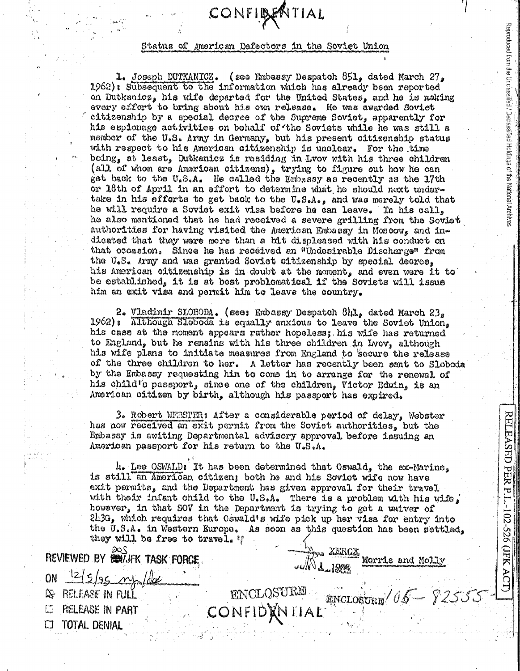## CONFIDENTIAL

## Status of American Defectors in the Soviet Union

1. Joseph DUTKANICZ. (see Embassy Despatch 851, dated March 27. 1962): Subsequent to the information which has already been reported on Dutkanicz, his wife departed for the United States, and he is making every effort to bring about his own release. He was awarded Soviet citizenship by a special decree of the Supreme Soviet, apparently for his espionage activities on behalf of the Soviets while he was still a member of the U.S. Army in Germany, but his present citizenship status with respect to his American citizenship is unclear. For the time being, at least, Dutkanicz is residing in Lvov with his three children (all of whom are American citizens), trying to figure out how he can get back to the U.S.A. He called the Embassy as recently as the 17th or 18th of April in an effort to determine what he should next undertake in his efforts to get back to the U.S.A., and was merely told that he will require a Soviet exit visa before he can leave. In his call, he also mentioned that he had received a severe grilling from the Soviet authorities for having visited the American Embassy in Moscow, and indicated that they were more than a bit displeased with his conduct on that occasion. Since he has received an "Undesirable Discharge" from the U.S. Army and was granted Soviet citizenship by special decree. his American citizenship is in doubt at the moment, and even were it to be established, it is at best problematical if the Soviets will issue him an exit visa and permit him to leave the country.

Reproduced from the Unclassified / Declassified Holdings of the National Archives

RELEASED PER P.

L-102-526 (JFK ACT)

2. Vladimir SLOBODA. (see: Embassy Despatch 81,1, dated March 23, 1962): Although Sloboda is equally anxious to leave the Soviet Union, his case at the moment appears rather hopeless; his wife has returned to England, but he remains with his three children in Lvov, although his wife plans to initiate measures from England to secure the release of the three children to her. A letter has recently been sent to Sloboda by the Embassy requesting him to come in to arrange for the renewal of his child's passport, since one of the children, Victor Edwin, is an American citizen by birth, although his passport has expired.

3. Robert WEBSTER: After a considerable period of delay, Webster has now received an exit permit from the Soviet authorities, but the Embassy is awiting Departmental advisory approval before issuing an American passport for his return to the U.S.A.

4. Lee OSWALD: It has been determined that Oswald, the ex-Marine. is still an American citizen; both he and his Soviet wife now have exit permits, and the Department has given approval for their travel. with their infant child to the U.S.A. There is a problem with his wife. however, in that SOV in the Department is trying to get a waiver of 243G, which requires that Oswald's wife pick up her visa for entry into the U.S.A. in Western Europe. As soon as this question has been settled, they will be free to travel. W

IDXNIIAL

JUNITEROX MOTTLE and Molly

ENCLOSURE 165 - 825

|                                | REVIEWED BY BUYJFK TASK FORCE |            |
|--------------------------------|-------------------------------|------------|
| ON                             | $12/5/95$ mp/dx               | الته       |
| RELEASE IN FULL<br>₩           |                               | ENCLOSURE  |
| <b><i>PIELEASE IN PART</i></b> |                               | CONFIDANTI |